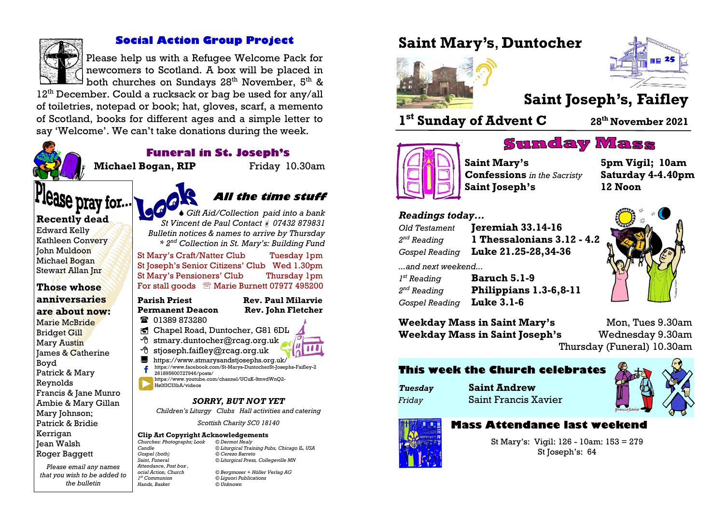

## **Social Action Group Project**

Please help us with a Refugee Welcome Pack for newcomers to Scotland. A box will be placed in  $\mathbb{B}^{\mathsf{I}}$  both churches on Sundays 28<sup>th</sup> November, 5<sup>th</sup> &

12<sup>th</sup> December. Could a rucksack or bag be used for any/all of toiletries, notepad or book; hat, gloves, scarf, a memento of Scotland, books for different ages and a simple letter to say 'Welcome'. We can't take donations during the week.



## **Funeral in St. Joseph's**

**Michael Bogan, RIP** Friday 10.30am

# Flease pray for...

#### **Recently dead**

Edward Kelly Kathleen Convery John Muldoon Michael Bogan Stewart Allan Jnr

**Those whose anniversaries are about now:** Marie McBride Bridget Gill Mary Austin James & Catherine Boyd Patrick & Mary Reynolds Francis & Jane Munro Ambie & Mary Gillan Mary Johnson; Patrick & Bridie Kerrigan Jean Walsh Roger Baggett

*Please email any names that you wish to be added to the bulletin* 

#### *Bulletin notices & names to arrive by Thursday \* 2nd Collection in St. Mary's: Building Fund* St Mary's Craft/Natter Club Tuesday 1pm St Joseph's Senior Citizens' Club Wed 1.30pm St Mary's Pensioners' Club Thursday 1pm For stall goods <sup>®</sup> Marie Burnett 07977 495200 **Parish Priest Rev. Paul Milarvie**

# **Permanent Deacon Rev. John Fletcher**

**■ 01389 873280** 

- Chapel Road, Duntocher, G81 6DL
- $\Theta$  stmary.duntocher@rcag.org.uk
- $\Theta$  stjoseph.faifley@rcag.org.uk
- <https://www.stmarysandstjosephs.org.uk/> [https://www.facebook.com/St-Marys-DuntocherSt-Josephs-Faifley-2](https://www.facebook.com/St-Marys-DuntocherSt-Josephs-Faifley-2261895600727946/posts/) [261895600727946/posts/](https://www.facebook.com/St-Marys-DuntocherSt-Josephs-Faifley-2261895600727946/posts/) [https://www.youtube.com/channel/UCuK-9mvdWnQ2-](https://www.youtube.com/channel/UCuK-9mvdWnQ2-Hs0f3CI3bA/videos) [Hs0f3CI3bA/videos](https://www.youtube.com/channel/UCuK-9mvdWnQ2-Hs0f3CI3bA/videos)
	- *SORRY, BUT NOT YET*

*Children's Liturgy Clubs Hall activities and catering* 

*Scottish Charity SC0 18140*

## **Clip Art Copyright Acknowledgements**<br>Churches: Photographs: **Look** © Dermot Healv

1<sup>st</sup> Communion

 $H$ ands, Basket

*Churches: Photographs; Look*<br>*Candle Candle © Liturgical Training Pubs, Chicago IL, USA Gospel (both) © Cerezo Barreto Saint, Funeral © Liturgical Press, Collegeville MN Attendance, Post box ,* 

*ocial Action, Church © Bergmoser + Höller Verlag AG st Communion © Liguori Publications*

# **Saint Mary's**, **Duntocher**





**Saint Joseph's, Faifley**

**1 st Sunday of Advent C <sup>28</sup>th November 2021**

# **Sunday Mass**

*nd Reading* **1 Thessalonians 3.12 - 4.2**



**Confessions** *in the Sacristy* **Saturday 4-4.40pm Saint Joseph's 12 Noon**

**Saint Mary's 5pm Vigil; 10am**

#### *Readings today...*

| Old Testament<br>2 <sup>nd</sup> Reading<br>Gospel Reading | Jeremiah 33.14-16<br>1 Thessalonians 3.12 -<br>Luke 21.25-28,34-36 |
|------------------------------------------------------------|--------------------------------------------------------------------|
| and next weekend                                           |                                                                    |
| 1 <sup>st</sup> Reading                                    | <b>Baruch 5.1-9</b>                                                |
| 2 <sup>nd</sup> Reading                                    | Philippians 1.3-6,8-11                                             |
| Gospel Reading                                             | <b>Luke 3.1-6</b>                                                  |



**Weekday Mass in Saint Mary's Mon, Tues 9.30am Weekday Mass in Saint Joseph's** Wednesday 9.30am

Thursday (Funeral) 10.30am

# **This week the Church celebrates**

*Tuesday* **Saint Andrew** *Friday* Saint Francis Xavier



# **Mass Attendance last weekend**

St Mary's: Vigil: 126 - 10am: 153 = 279 St Joseph's: 64





**All the time stuff**

 *Gift Aid/Collection paid into a bank St Vincent de Paul Contact 07432 879831*